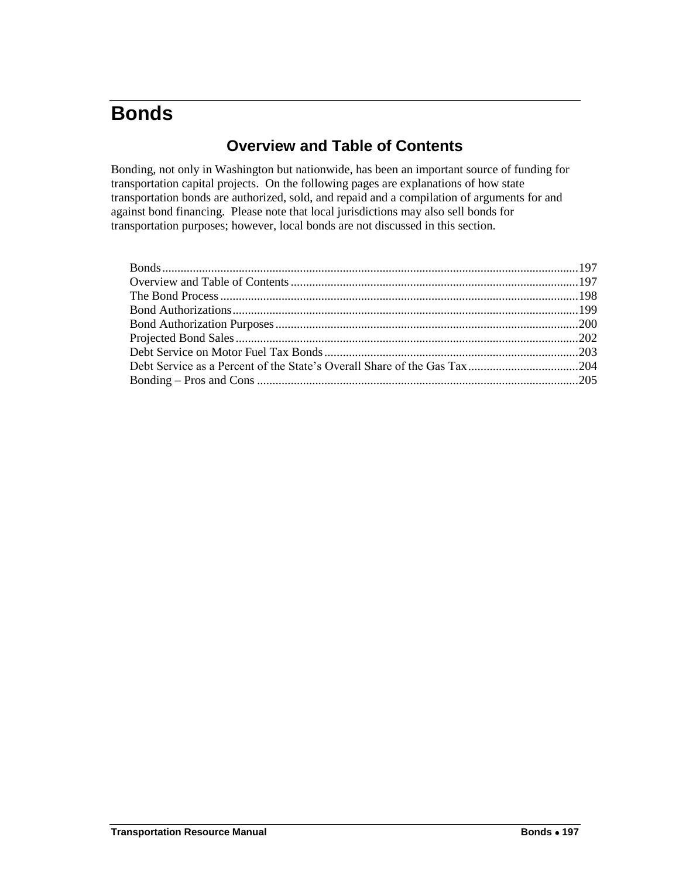# <span id="page-0-0"></span>**Bonds**

# **Overview and Table of Contents**

Bonding, not only in Washington but nationwide, has been an important source of funding for transportation capital projects. On the following pages are explanations of how state transportation bonds are authorized, sold, and repaid and a compilation of arguments for and against bond financing. Please note that local jurisdictions may also sell bonds for transportation purposes; however, local bonds are not discussed in this section.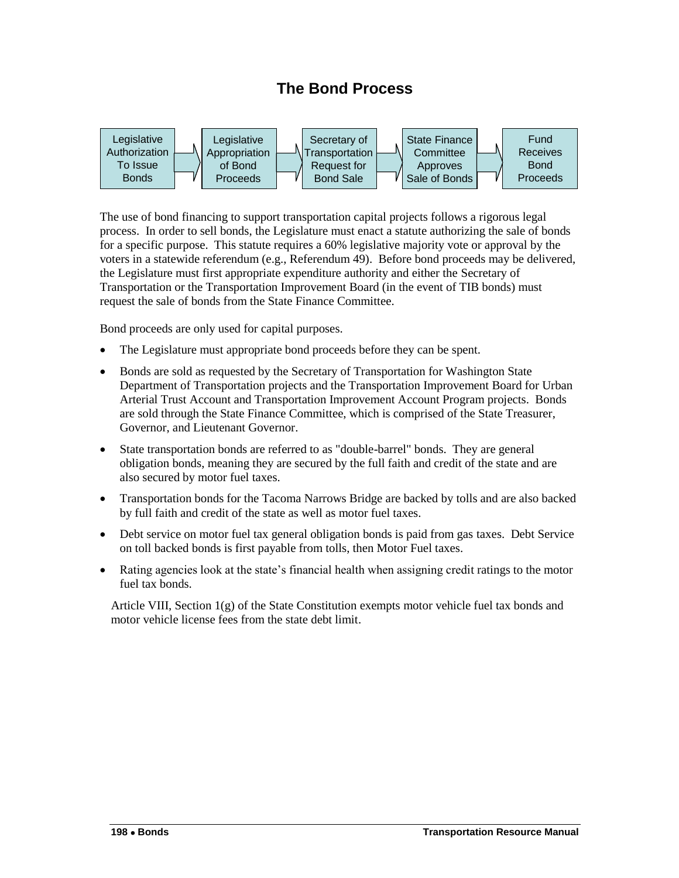# **The Bond Process**

<span id="page-1-0"></span>

The use of bond financing to support transportation capital projects follows a rigorous legal process. In order to sell bonds, the Legislature must enact a statute authorizing the sale of bonds for a specific purpose. This statute requires a 60% legislative majority vote or approval by the voters in a statewide referendum (e.g., Referendum 49). Before bond proceeds may be delivered, the Legislature must first appropriate expenditure authority and either the Secretary of Transportation or the Transportation Improvement Board (in the event of TIB bonds) must request the sale of bonds from the State Finance Committee.

Bond proceeds are only used for capital purposes.

- The Legislature must appropriate bond proceeds before they can be spent.
- Bonds are sold as requested by the Secretary of Transportation for Washington State Department of Transportation projects and the Transportation Improvement Board for Urban Arterial Trust Account and Transportation Improvement Account Program projects. Bonds are sold through the State Finance Committee, which is comprised of the State Treasurer, Governor, and Lieutenant Governor.
- State transportation bonds are referred to as "double-barrel" bonds. They are general obligation bonds, meaning they are secured by the full faith and credit of the state and are also secured by motor fuel taxes.
- Transportation bonds for the Tacoma Narrows Bridge are backed by tolls and are also backed by full faith and credit of the state as well as motor fuel taxes.
- Debt service on motor fuel tax general obligation bonds is paid from gas taxes. Debt Service on toll backed bonds is first payable from tolls, then Motor Fuel taxes.
- Rating agencies look at the state's financial health when assigning credit ratings to the motor fuel tax bonds.

Article VIII, Section 1(g) of the State Constitution exempts motor vehicle fuel tax bonds and motor vehicle license fees from the state debt limit.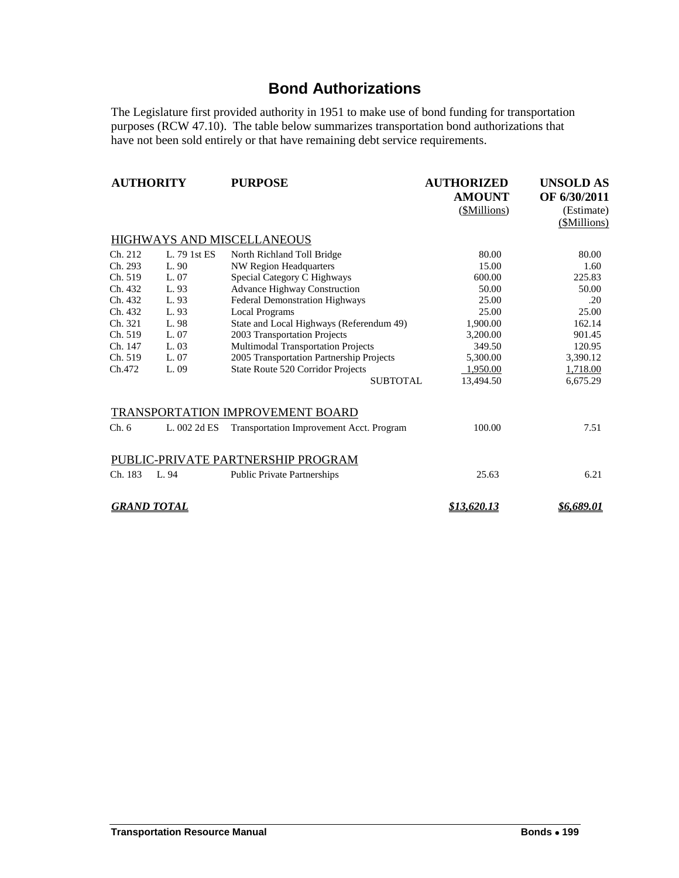# **Bond Authorizations**

<span id="page-2-0"></span>The Legislature first provided authority in 1951 to make use of bond funding for transportation purposes (RCW 47.10). The table below summarizes transportation bond authorizations that have not been sold entirely or that have remaining debt service requirements.

| <b>AUTHORITY</b>   |              | <b>PURPOSE</b>                                  | <b>AUTHORIZED</b>  | <b>UNSOLD AS</b>  |  |
|--------------------|--------------|-------------------------------------------------|--------------------|-------------------|--|
|                    |              |                                                 | <b>AMOUNT</b>      | OF 6/30/2011      |  |
|                    |              |                                                 | (\$Millions)       | (Estimate)        |  |
|                    |              |                                                 |                    | (\$Millions)      |  |
|                    |              | HIGHWAYS AND MISCELLANEOUS                      |                    |                   |  |
| Ch. 212            | L. 79 1st ES | North Richland Toll Bridge                      | 80.00              | 80.00             |  |
| Ch. 293            | L. 90        | <b>NW Region Headquarters</b>                   | 15.00              | 1.60              |  |
| Ch. 519            | L. 07        | Special Category C Highways                     | 600.00             | 225.83            |  |
| Ch. 432            | L. 93        | <b>Advance Highway Construction</b>             | 50.00              | 50.00             |  |
| Ch. 432            | L. 93        | Federal Demonstration Highways                  | 25.00              | .20               |  |
| Ch. 432            | L. 93        | <b>Local Programs</b>                           | 25.00              | 25.00             |  |
| Ch. 321            | L. 98        | State and Local Highways (Referendum 49)        | 1,900.00           | 162.14            |  |
| Ch. 519            | L. 07        | 2003 Transportation Projects                    | 3,200.00           | 901.45            |  |
| Ch. 147            | L. 03        | Multimodal Transportation Projects              | 349.50             | 120.95            |  |
| Ch. 519            | L. 07        | 2005 Transportation Partnership Projects        | 5,300.00           | 3,390.12          |  |
| Ch.472             | L.09         | State Route 520 Corridor Projects               | 1,950.00           | 1,718.00          |  |
|                    |              | <b>SUBTOTAL</b>                                 | 13,494.50          | 6,675.29          |  |
|                    |              | TRANSPORTATION IMPROVEMENT BOARD                |                    |                   |  |
| Ch.6               | L. 002 2d ES | <b>Transportation Improvement Acct. Program</b> | 100.00             | 7.51              |  |
|                    |              | PUBLIC-PRIVATE PARTNERSHIP PROGRAM              |                    |                   |  |
| Ch. 183            | L. 94        | <b>Public Private Partnerships</b>              | 25.63              | 6.21              |  |
| <b>GRAND TOTAL</b> |              |                                                 | <u>\$13.620.13</u> | <u>\$6.689.01</u> |  |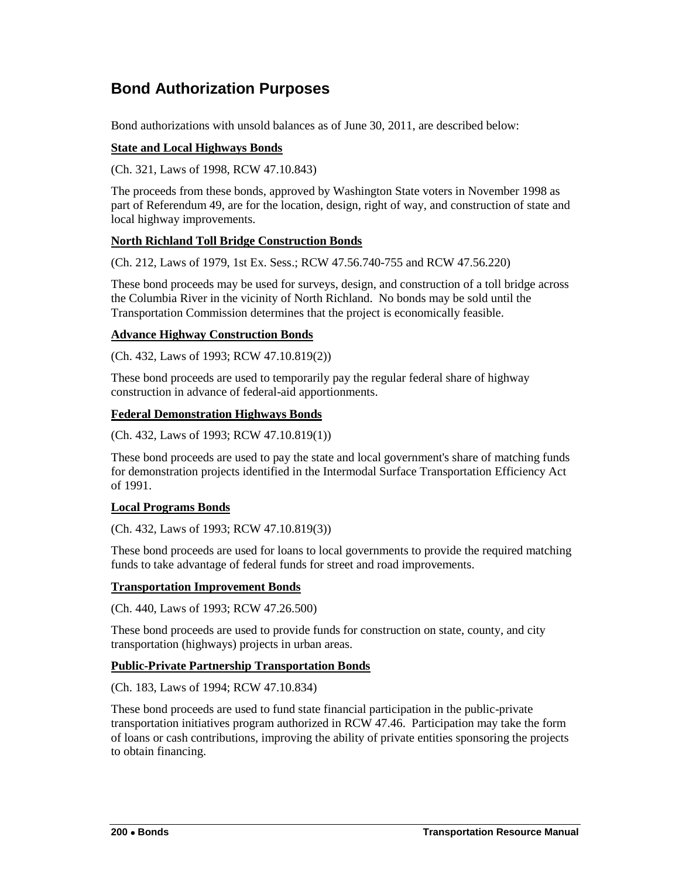# <span id="page-3-0"></span>**Bond Authorization Purposes**

Bond authorizations with unsold balances as of June 30, 2011, are described below:

### **State and Local Highways Bonds**

(Ch. 321, Laws of 1998, RCW 47.10.843)

The proceeds from these bonds, approved by Washington State voters in November 1998 as part of Referendum 49, are for the location, design, right of way, and construction of state and local highway improvements.

## **North Richland Toll Bridge Construction Bonds**

(Ch. 212, Laws of 1979, 1st Ex. Sess.; RCW 47.56.740-755 and RCW 47.56.220)

These bond proceeds may be used for surveys, design, and construction of a toll bridge across the Columbia River in the vicinity of North Richland. No bonds may be sold until the Transportation Commission determines that the project is economically feasible.

### **Advance Highway Construction Bonds**

(Ch. 432, Laws of 1993; RCW 47.10.819(2))

These bond proceeds are used to temporarily pay the regular federal share of highway construction in advance of federal-aid apportionments.

### **Federal Demonstration Highways Bonds**

(Ch. 432, Laws of 1993; RCW 47.10.819(1))

These bond proceeds are used to pay the state and local government's share of matching funds for demonstration projects identified in the Intermodal Surface Transportation Efficiency Act of 1991.

#### **Local Programs Bonds**

(Ch. 432, Laws of 1993; RCW 47.10.819(3))

These bond proceeds are used for loans to local governments to provide the required matching funds to take advantage of federal funds for street and road improvements.

#### **Transportation Improvement Bonds**

(Ch. 440, Laws of 1993; RCW 47.26.500)

These bond proceeds are used to provide funds for construction on state, county, and city transportation (highways) projects in urban areas.

#### **Public-Private Partnership Transportation Bonds**

(Ch. 183, Laws of 1994; RCW 47.10.834)

These bond proceeds are used to fund state financial participation in the public-private transportation initiatives program authorized in RCW 47.46. Participation may take the form of loans or cash contributions, improving the ability of private entities sponsoring the projects to obtain financing.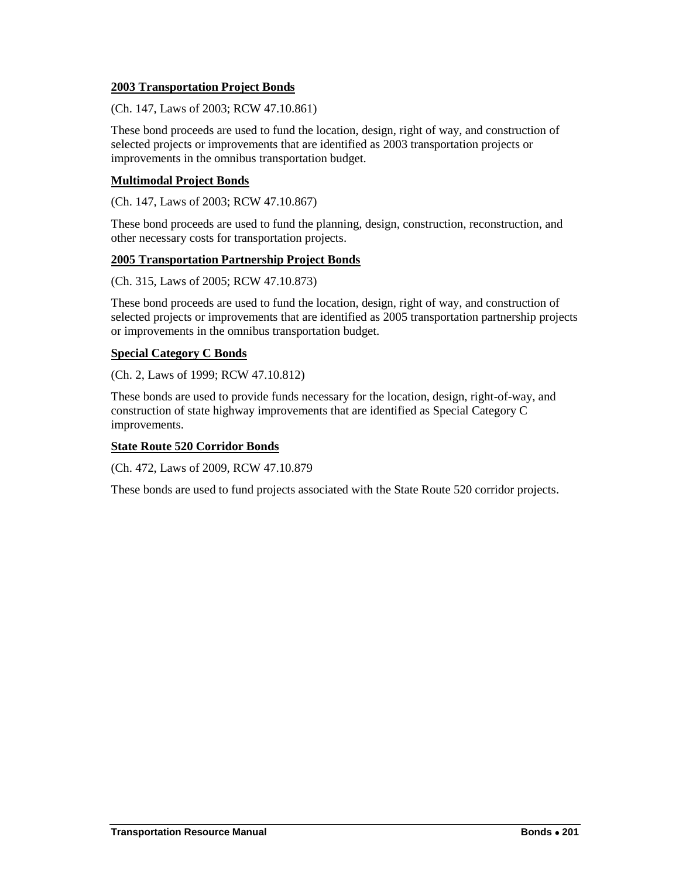#### **2003 Transportation Project Bonds**

(Ch. 147, Laws of 2003; RCW 47.10.861)

These bond proceeds are used to fund the location, design, right of way, and construction of selected projects or improvements that are identified as 2003 transportation projects or improvements in the omnibus transportation budget.

### **Multimodal Project Bonds**

(Ch. 147, Laws of 2003; RCW 47.10.867)

These bond proceeds are used to fund the planning, design, construction, reconstruction, and other necessary costs for transportation projects.

## **2005 Transportation Partnership Project Bonds**

(Ch. 315, Laws of 2005; RCW 47.10.873)

These bond proceeds are used to fund the location, design, right of way, and construction of selected projects or improvements that are identified as 2005 transportation partnership projects or improvements in the omnibus transportation budget.

### **Special Category C Bonds**

(Ch. 2, Laws of 1999; RCW 47.10.812)

These bonds are used to provide funds necessary for the location, design, right-of-way, and construction of state highway improvements that are identified as Special Category C improvements.

#### **State Route 520 Corridor Bonds**

(Ch. 472, Laws of 2009, RCW 47.10.879

These bonds are used to fund projects associated with the State Route 520 corridor projects.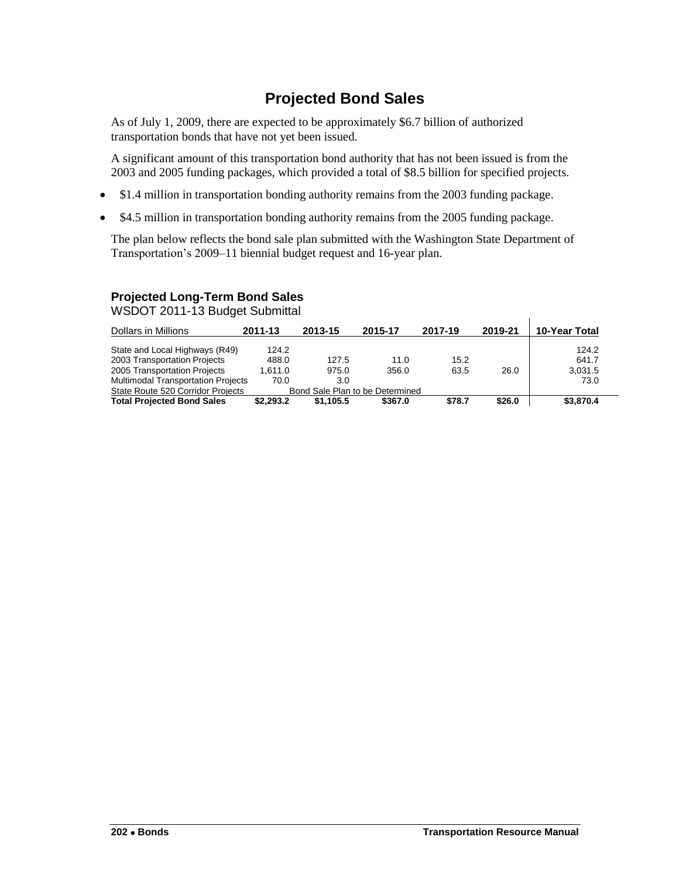# **Projected Bond Sales**

<span id="page-5-0"></span>As of July 1, 2009, there are expected to be approximately \$6.7 billion of authorized transportation bonds that have not yet been issued.

A significant amount of this transportation bond authority that has not been issued is from the 2003 and 2005 funding packages, which provided a total of \$8.5 billion for specified projects.

- \$1.4 million in transportation bonding authority remains from the 2003 funding package.
- \$4.5 million in transportation bonding authority remains from the 2005 funding package.

The plan below reflects the bond sale plan submitted with the Washington State Department of Transportation's 2009–11 biennial budget request and 16-year plan.

# **Projected Long-Term Bond Sales**

WSDOT 2011-13 Budget Submittal

| Dollars in Millions                                                  | 2011-13        | 2013-15   | 2015-17 | 2017-19 | 2019-21 | 10-Year Total  |
|----------------------------------------------------------------------|----------------|-----------|---------|---------|---------|----------------|
| State and Local Highways (R49)<br>2003 Transportation Projects       | 124.2<br>488.0 | 127.5     | 11.0    | 15.2    |         | 124.2<br>641.7 |
| 2005 Transportation Projects                                         | 1.611.0        | 975.0     | 356.0   | 63.5    | 26.0    | 3.031.5        |
| Multimodal Transportation Projects                                   | 70.0           | 3.0       |         |         |         | 73.0           |
| State Route 520 Corridor Projects<br>Bond Sale Plan to be Determined |                |           |         |         |         |                |
| <b>Total Projected Bond Sales</b>                                    | \$2.293.2      | \$1.105.5 | \$367.0 | \$78.7  | \$26.0  | \$3,870.4      |

 $\mathbf{I}$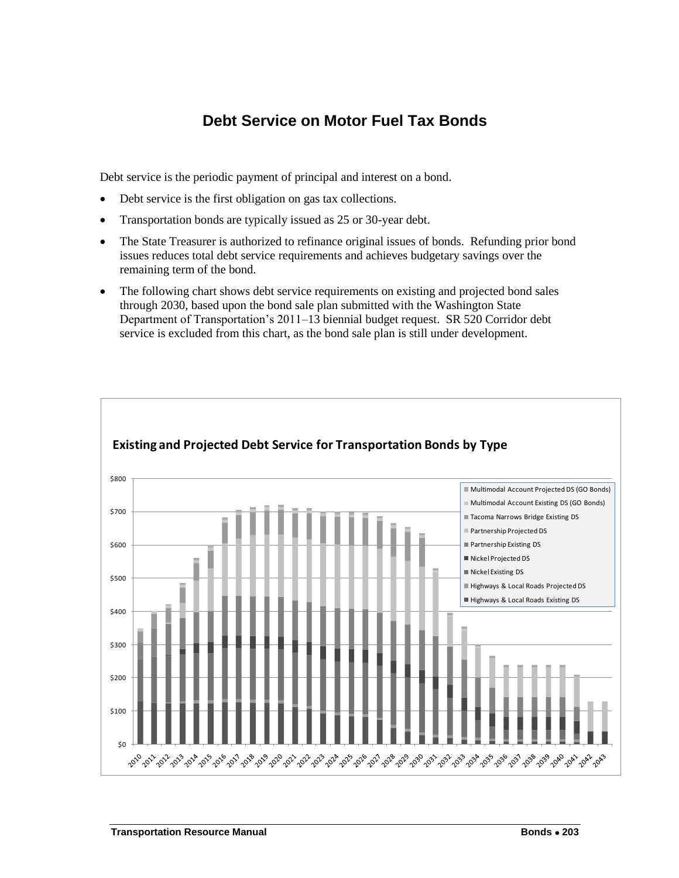# **Debt Service on Motor Fuel Tax Bonds**

<span id="page-6-0"></span>Debt service is the periodic payment of principal and interest on a bond.

- Debt service is the first obligation on gas tax collections.
- Transportation bonds are typically issued as 25 or 30-year debt.
- The State Treasurer is authorized to refinance original issues of bonds. Refunding prior bond issues reduces total debt service requirements and achieves budgetary savings over the remaining term of the bond.
- The following chart shows debt service requirements on existing and projected bond sales through 2030, based upon the bond sale plan submitted with the Washington State Department of Transportation's 2011–13 biennial budget request. SR 520 Corridor debt service is excluded from this chart, as the bond sale plan is still under development.

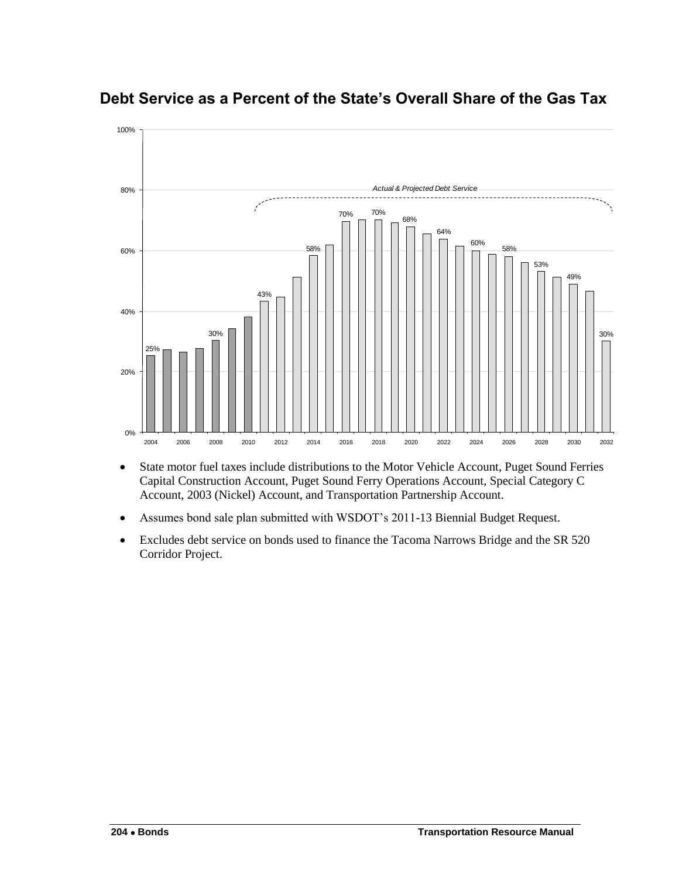

<span id="page-7-0"></span>**Debt Service as a Percent of the State's Overall Share of the Gas Tax**

- State motor fuel taxes include distributions to the Motor Vehicle Account, Puget Sound Ferries Capital Construction Account, Puget Sound Ferry Operations Account, Special Category C Account, 2003 (Nickel) Account, and Transportation Partnership Account.
- Assumes bond sale plan submitted with WSDOT's 2011-13 Biennial Budget Request.
- Excludes debt service on bonds used to finance the Tacoma Narrows Bridge and the SR 520 Corridor Project.